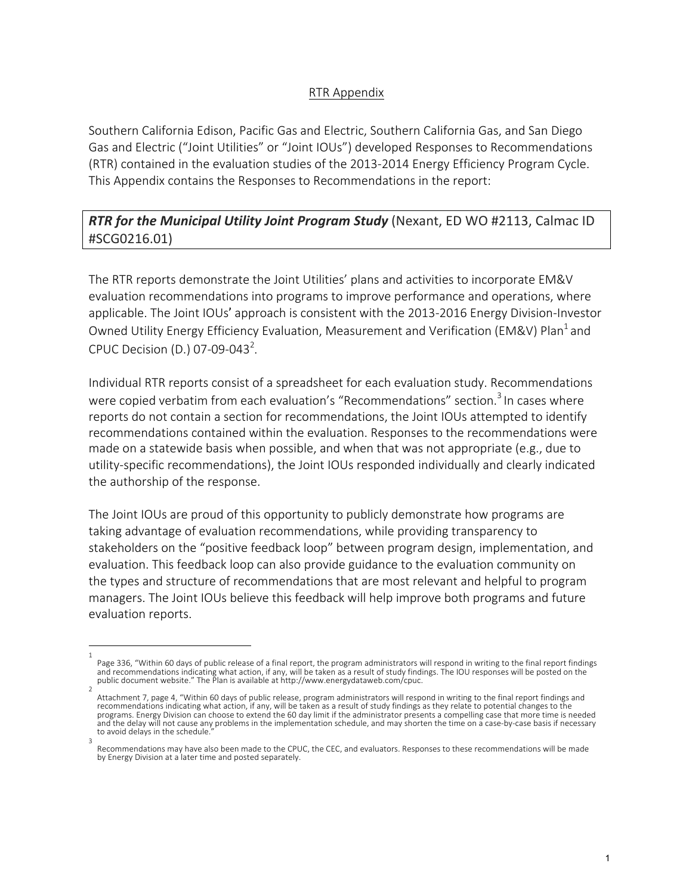## RTR Appendix

Southern California Edison, Pacific Gas and Electric, Southern California Gas, and San Diego Gas and Electric ("Joint Utilities" or "Joint IOUs") developed Responses to Recommendations (RTR) contained in the evaluation studies of the 2013-2014 Energy Efficiency Program Cycle. This Appendix contains the Responses to Recommendations in the report:

## **RTR for the Municipal Utility Joint Program Study** (Nexant, ED WO #2113, Calmac ID #SCG0216.01)

The RTR reports demonstrate the Joint Utilities' plans and activities to incorporate EM&V evaluation recommendations into programs to improve performance and operations, where applicable. The Joint IOUs' approach is consistent with the 2013-2016 Energy Division-Investor Owned Utility Energy Efficiency Evaluation, Measurement and Verification (EM&V) Plan<sup>1</sup> and CPUC Decision (D.) 07-09-043<sup>2</sup>.

Individual RTR reports consist of a spreadsheet for each evaluation study. Recommendations were copied verbatim from each evaluation's "Recommendations" section.<sup>3</sup> In cases where reports do not contain a section for recommendations, the Joint IOUs attempted to identify recommendations contained within the evaluation. Responses to the recommendations were made on a statewide basis when possible, and when that was not appropriate (e.g., due to utility-specific recommendations), the Joint IOUs responded individually and clearly indicated the authorship of the response.

The Joint IOUs are proud of this opportunity to publicly demonstrate how programs are taking advantage of evaluation recommendations, while providing transparency to stakeholders on the "positive feedback loop" between program design, implementation, and evaluation. This feedback loop can also provide guidance to the evaluation community on the types and structure of recommendations that are most relevant and helpful to program managers. The Joint IOUs believe this feedback will help improve both programs and future evaluation reports.

<sup>1</sup> Page 336, "Within 60 days of public release of a final report, the program administrators will respond in writing to the final report findings and recommendations indicating what action, if any, will be taken as a result of study findings. The IOU responses will be posted on the public document website." The Plan is available at http://www.energydataweb.com/cpuc.

<sup>2</sup> Attachment 7, page 4, "Within 60 days of public release, program administrators will respond in writing to the final report findings and<br>recommendations indicating what action, if any, will be taken as a result of study fi programs. Energy Division can choose to extend the 60 day limit if the administrator presents a compelling case that more time is needed and the delay will not cause any problems in the implementation schedule, and may shorten the time on a case-by-case basis if necessary to avoid delays in the schedule. 3

Recommendations may have also been made to the CPUC, the CEC, and evaluators. Responses to these recommendations will be made by Energy Division at a later time and posted separately.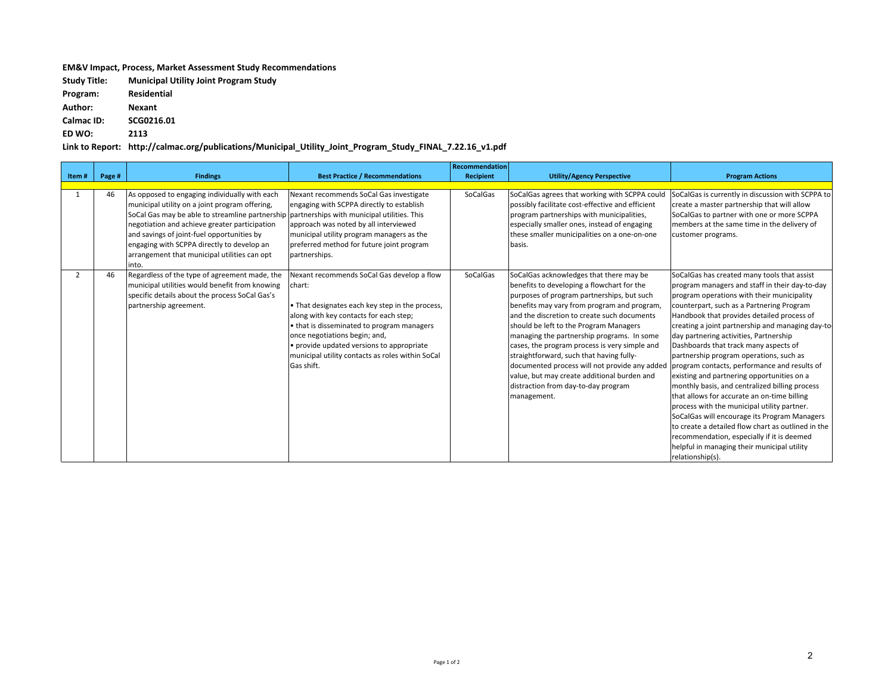## **EM&V** Impact, Process, Market Assessment Study Recommendations

**Study Title: Municipal Utility Joint Program Study**

**Program: Residential**

**Author: Nexant**

**Calmac ID: SCG0216.01**

**ED WO: 2113**

Link to Report: http://calmac.org/publications/Municipal\_Utility\_Joint\_Program\_Study\_FINAL\_7.22.16\_v1.pdf

|       |        |                                                                                                                                                                                                                                                                                                                                                                                                      |                                                                                                                                                                                                                                                                                                                                                                     | Recommendation |                                                                                                                                                                                                                                                                                                                                                                                                                                                                                                                                                                                                                            |                                                                                                                                                                                                                                                                                                                                                                                                                                                                                                                                                                                                                                                                                                                                                                                                                                                |
|-------|--------|------------------------------------------------------------------------------------------------------------------------------------------------------------------------------------------------------------------------------------------------------------------------------------------------------------------------------------------------------------------------------------------------------|---------------------------------------------------------------------------------------------------------------------------------------------------------------------------------------------------------------------------------------------------------------------------------------------------------------------------------------------------------------------|----------------|----------------------------------------------------------------------------------------------------------------------------------------------------------------------------------------------------------------------------------------------------------------------------------------------------------------------------------------------------------------------------------------------------------------------------------------------------------------------------------------------------------------------------------------------------------------------------------------------------------------------------|------------------------------------------------------------------------------------------------------------------------------------------------------------------------------------------------------------------------------------------------------------------------------------------------------------------------------------------------------------------------------------------------------------------------------------------------------------------------------------------------------------------------------------------------------------------------------------------------------------------------------------------------------------------------------------------------------------------------------------------------------------------------------------------------------------------------------------------------|
| Item# | Page # | <b>Findings</b>                                                                                                                                                                                                                                                                                                                                                                                      | <b>Best Practice / Recommendations</b>                                                                                                                                                                                                                                                                                                                              | Recipient      | <b>Utility/Agency Perspective</b>                                                                                                                                                                                                                                                                                                                                                                                                                                                                                                                                                                                          | <b>Program Actions</b>                                                                                                                                                                                                                                                                                                                                                                                                                                                                                                                                                                                                                                                                                                                                                                                                                         |
|       | 46     | As opposed to engaging individually with each<br>municipal utility on a joint program offering,<br>SoCal Gas may be able to streamline partnership partnerships with municipal utilities. This<br>negotiation and achieve greater participation<br>and savings of joint-fuel opportunities by<br>engaging with SCPPA directly to develop an<br>arrangement that municipal utilities can opt<br>into. | Nexant recommends SoCal Gas investigate<br>engaging with SCPPA directly to establish<br>approach was noted by all interviewed<br>municipal utility program managers as the<br>preferred method for future joint program<br>partnerships.                                                                                                                            | SoCalGas       | SoCalGas agrees that working with SCPPA could<br>possibly facilitate cost-effective and efficient<br>program partnerships with municipalities,<br>especially smaller ones, instead of engaging<br>these smaller municipalities on a one-on-one<br>lbasis.                                                                                                                                                                                                                                                                                                                                                                  | SoCalGas is currently in discussion with SCPPA to<br>create a master partnership that will allow<br>SoCalGas to partner with one or more SCPPA<br>members at the same time in the delivery of<br>customer programs.                                                                                                                                                                                                                                                                                                                                                                                                                                                                                                                                                                                                                            |
| 2     | 46     | Regardless of the type of agreement made, the<br>municipal utilities would benefit from knowing<br>specific details about the process SoCal Gas's<br>partnership agreement.                                                                                                                                                                                                                          | Nexant recommends SoCal Gas develop a flow<br>Ichart:<br>. That designates each key step in the process,<br>along with key contacts for each step;<br>$\cdot$ that is disseminated to program managers<br>once negotiations begin; and,<br>$\cdot$ provide updated versions to appropriate<br>municipal utility contacts as roles within SoCal<br><b>Gas shift.</b> | SoCalGas       | SoCalGas acknowledges that there may be<br>benefits to developing a flowchart for the<br>purposes of program partnerships, but such<br>benefits may vary from program and program,<br>land the discretion to create such documents<br>should be left to the Program Managers<br>managing the partnership programs. In some<br>cases, the program process is very simple and<br>straightforward, such that having fully-<br>documented process will not provide any added program contacts, performance and results of<br>value, but may create additional burden and<br>distraction from day-to-day program<br>management. | SoCalGas has created many tools that assist<br>program managers and staff in their day-to-day<br>program operations with their municipality<br>counterpart, such as a Partnering Program<br>Handbook that provides detailed process of<br>creating a joint partnership and managing day-to-<br>day partnering activities, Partnership<br>Dashboards that track many aspects of<br>partnership program operations, such as<br>existing and partnering opportunities on a<br>monthly basis, and centralized billing process<br>that allows for accurate an on-time billing<br>process with the municipal utility partner.<br>SoCalGas will encourage its Program Managers<br>to create a detailed flow chart as outlined in the<br>recommendation, especially if it is deemed<br>helpful in managing their municipal utility<br>relationship(s). |